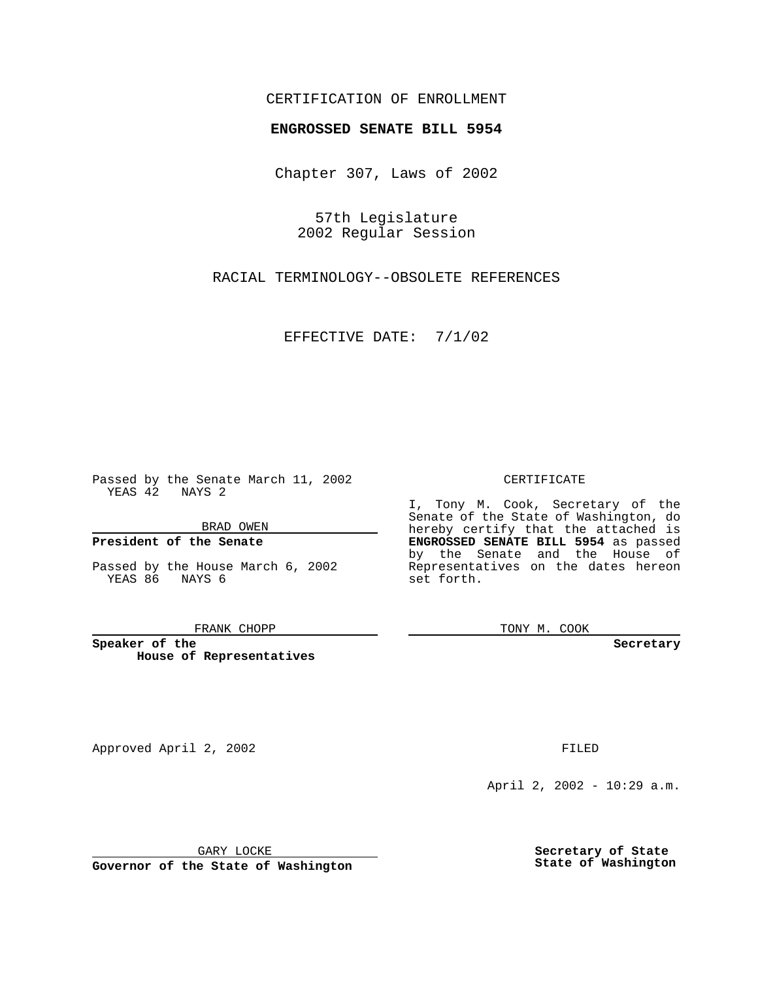## CERTIFICATION OF ENROLLMENT

# **ENGROSSED SENATE BILL 5954**

Chapter 307, Laws of 2002

57th Legislature 2002 Regular Session

RACIAL TERMINOLOGY--OBSOLETE REFERENCES

EFFECTIVE DATE: 7/1/02

Passed by the Senate March 11, 2002 YEAS 42 NAYS 2

BRAD OWEN

### **President of the Senate**

Passed by the House March 6, 2002 YEAS 86 NAYS 6

#### FRANK CHOPP

**Speaker of the House of Representatives** CERTIFICATE

I, Tony M. Cook, Secretary of the Senate of the State of Washington, do hereby certify that the attached is **ENGROSSED SENATE BILL 5954** as passed by the Senate and the House of Representatives on the dates hereon set forth.

TONY M. COOK

**Secretary**

Approved April 2, 2002 **FILED** 

April 2, 2002 - 10:29 a.m.

GARY LOCKE

**Governor of the State of Washington**

**Secretary of State State of Washington**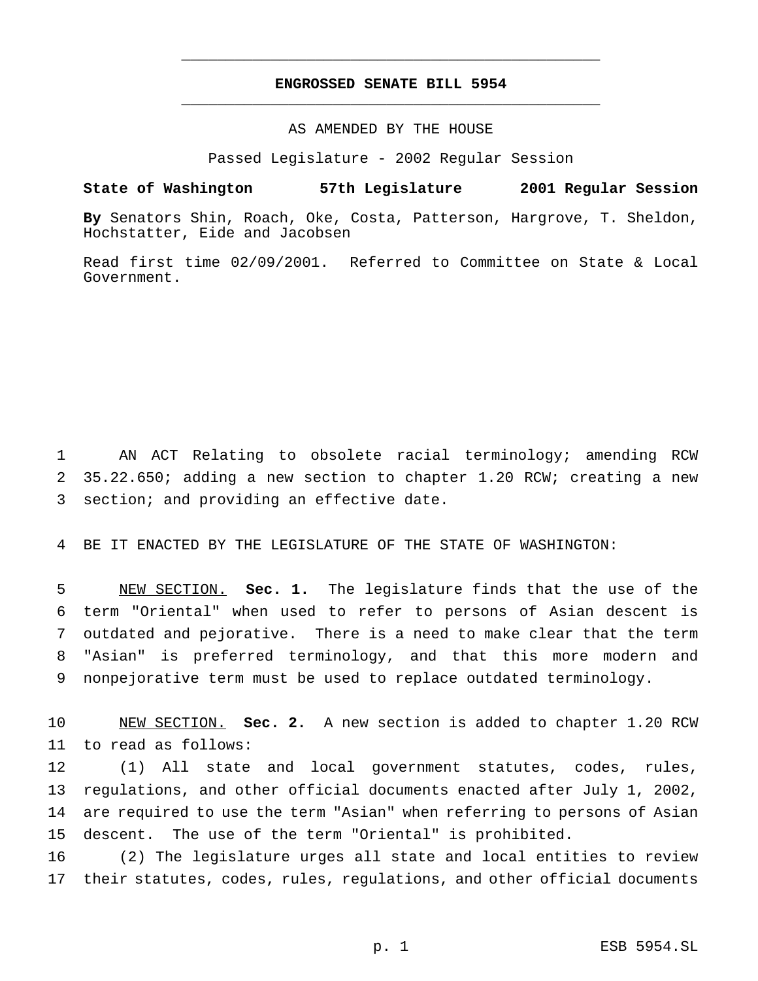## **ENGROSSED SENATE BILL 5954** \_\_\_\_\_\_\_\_\_\_\_\_\_\_\_\_\_\_\_\_\_\_\_\_\_\_\_\_\_\_\_\_\_\_\_\_\_\_\_\_\_\_\_\_\_\_\_

\_\_\_\_\_\_\_\_\_\_\_\_\_\_\_\_\_\_\_\_\_\_\_\_\_\_\_\_\_\_\_\_\_\_\_\_\_\_\_\_\_\_\_\_\_\_\_

### AS AMENDED BY THE HOUSE

Passed Legislature - 2002 Regular Session

### **State of Washington 57th Legislature 2001 Regular Session**

**By** Senators Shin, Roach, Oke, Costa, Patterson, Hargrove, T. Sheldon, Hochstatter, Eide and Jacobsen

Read first time 02/09/2001. Referred to Committee on State & Local Government.

 AN ACT Relating to obsolete racial terminology; amending RCW 35.22.650; adding a new section to chapter 1.20 RCW; creating a new section; and providing an effective date.

BE IT ENACTED BY THE LEGISLATURE OF THE STATE OF WASHINGTON:

 NEW SECTION. **Sec. 1.** The legislature finds that the use of the term "Oriental" when used to refer to persons of Asian descent is outdated and pejorative. There is a need to make clear that the term "Asian" is preferred terminology, and that this more modern and nonpejorative term must be used to replace outdated terminology.

 NEW SECTION. **Sec. 2.** A new section is added to chapter 1.20 RCW to read as follows:

 (1) All state and local government statutes, codes, rules, regulations, and other official documents enacted after July 1, 2002, are required to use the term "Asian" when referring to persons of Asian descent. The use of the term "Oriental" is prohibited.

 (2) The legislature urges all state and local entities to review their statutes, codes, rules, regulations, and other official documents